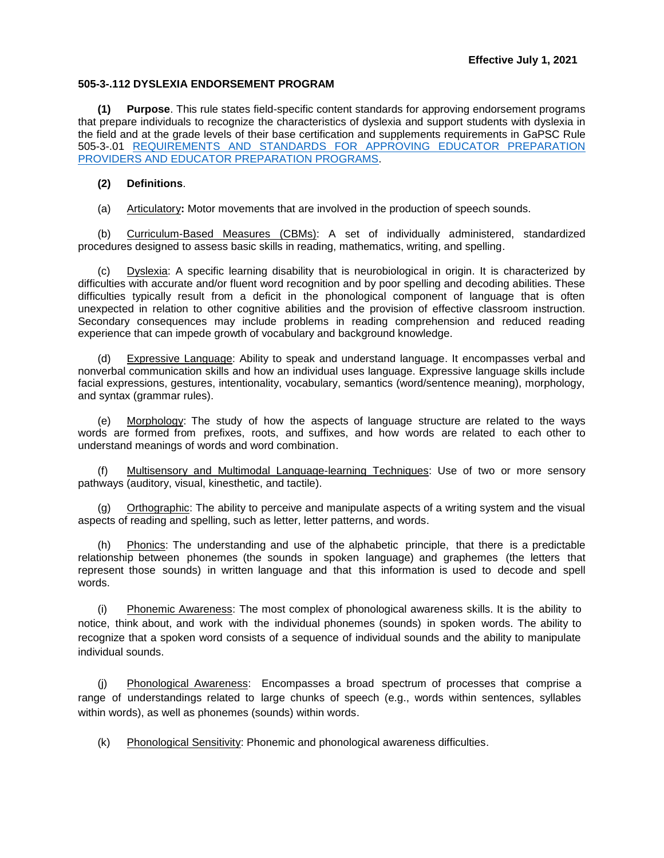## **505-3-.112 DYSLEXIA ENDORSEMENT PROGRAM**

**(1) Purpose**. This rule states field-specific content standards for approving endorsement programs that prepare individuals to recognize the characteristics of dyslexia and support students with dyslexia in the field and at the grade levels of their base certification and supplements requirements in GaPSC Rule 505-3-.01 [REQUIREMENTS AND STANDARDS FOR APPROVING EDUCATOR PREPARATION](https://www.gapsc.com/Rules/Current/EducatorPreparation/505-3-.01.pdf?dt=%3C%25#Eval()  [PROVIDERS AND EDUCATOR PREPARATION PROGRAMS.](https://www.gapsc.com/Rules/Current/EducatorPreparation/505-3-.01.pdf?dt=%3C%25#Eval()

## **(2) Definitions**.

(a) Articulatory**:** Motor movements that are involved in the production of speech sounds.

(b) Curriculum-Based Measures (CBMs): A set of individually administered, standardized procedures designed to assess basic skills in reading, mathematics, writing, and spelling.

Dyslexia: A specific learning disability that is neurobiological in origin. It is characterized by difficulties with accurate and/or fluent word recognition and by poor spelling and decoding abilities. These difficulties typically result from a deficit in the phonological component of language that is often unexpected in relation to other cognitive abilities and the provision of effective classroom instruction. Secondary consequences may include problems in reading comprehension and reduced reading experience that can impede growth of vocabulary and background knowledge.

(d) Expressive Language: Ability to speak and understand language. It encompasses verbal and nonverbal communication skills and how an individual uses language. Expressive language skills include facial expressions, gestures, intentionality, vocabulary, semantics (word/sentence meaning), morphology, and syntax (grammar rules).

(e) Morphology: The study of how the aspects of language structure are related to the ways words are formed from prefixes, roots, and suffixes, and how words are related to each other to understand meanings of words and word combination.

(f) Multisensory and Multimodal Language-learning Techniques: Use of two or more sensory pathways (auditory, visual, kinesthetic, and tactile).

(g) Orthographic: The ability to perceive and manipulate aspects of a writing system and the visual aspects of reading and spelling, such as letter, letter patterns, and words.

Phonics: The understanding and use of the alphabetic principle, that there is a predictable relationship between phonemes (the sounds in spoken language) and graphemes (the letters that represent those sounds) in written language and that this information is used to decode and spell words.

(i) Phonemic Awareness: The most complex of phonological awareness skills. It is the ability to notice, think about, and work with the individual phonemes (sounds) in spoken words. The ability to recognize that a spoken word consists of a sequence of individual sounds and the ability to manipulate individual sounds.

(j) Phonological Awareness: Encompasses a broad spectrum of processes that comprise a range of understandings related to large chunks of speech (e.g., words within sentences, syllables within words), as well as phonemes (sounds) within words.

(k) Phonological Sensitivity: Phonemic and phonological awareness difficulties.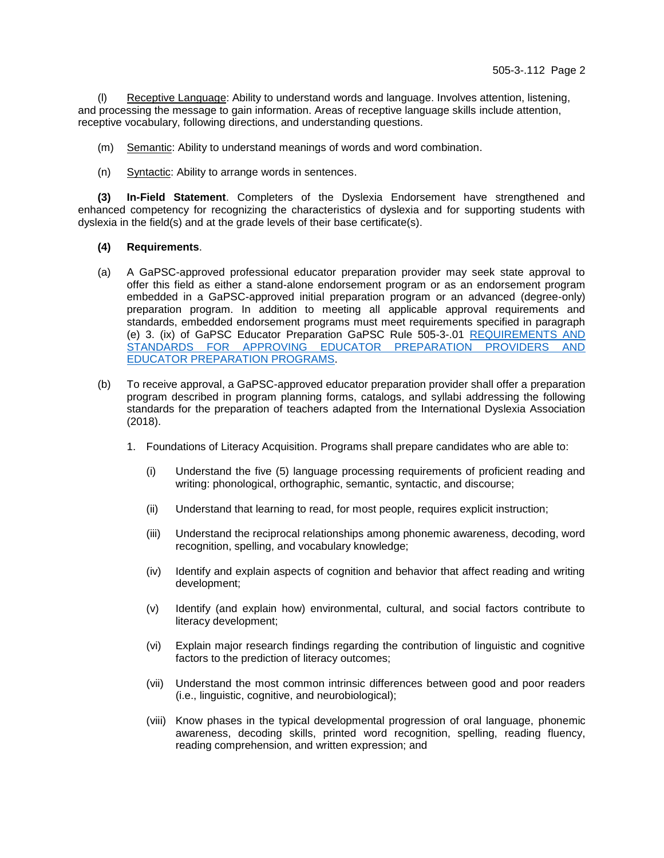(l) Receptive Language: Ability to understand words and language. Involves attention, listening, and processing the message to gain information. Areas of receptive language skills include attention, receptive vocabulary, following directions, and understanding questions.

- (m) Semantic: Ability to understand meanings of words and word combination.
- (n) Syntactic: Ability to arrange words in sentences.

**(3) In-Field Statement**. Completers of the Dyslexia Endorsement have strengthened and enhanced competency for recognizing the characteristics of dyslexia and for supporting students with dyslexia in the field(s) and at the grade levels of their base certificate(s).

## **(4) Requirements**.

- (a) A GaPSC-approved professional educator preparation provider may seek state approval to offer this field as either a stand-alone endorsement program or as an endorsement program embedded in a GaPSC-approved initial preparation program or an advanced (degree-only) preparation program. In addition to meeting all applicable approval requirements and standards, embedded endorsement programs must meet requirements specified in paragraph (e) 3. (ix) of GaPSC Educator Preparation GaPSC Rule 505-3-.01 [REQUIREMENTS AND](https://www.gapsc.com/Rules/Current/EducatorPreparation/505-3-.01.pdf?dt=%3C%25#Eval()  [STANDARDS FOR APPROVING EDUCATOR PREPARATION PROVIDERS AND](https://www.gapsc.com/Rules/Current/EducatorPreparation/505-3-.01.pdf?dt=%3C%25#Eval()  [EDUCATOR PREPARATION PROGRAMS.](https://www.gapsc.com/Rules/Current/EducatorPreparation/505-3-.01.pdf?dt=%3C%25#Eval()
- (b) To receive approval, a GaPSC-approved educator preparation provider shall offer a preparation program described in program planning forms, catalogs, and syllabi addressing the following standards for the preparation of teachers adapted from the International Dyslexia Association (2018).
	- 1. Foundations of Literacy Acquisition. Programs shall prepare candidates who are able to:
		- (i) Understand the five (5) language processing requirements of proficient reading and writing: phonological, orthographic, semantic, syntactic, and discourse;
		- (ii) Understand that learning to read, for most people, requires explicit instruction;
		- (iii) Understand the reciprocal relationships among phonemic awareness, decoding, word recognition, spelling, and vocabulary knowledge;
		- (iv) Identify and explain aspects of cognition and behavior that affect reading and writing development;
		- (v) Identify (and explain how) environmental, cultural, and social factors contribute to literacy development;
		- (vi) Explain major research findings regarding the contribution of linguistic and cognitive factors to the prediction of literacy outcomes;
		- (vii) Understand the most common intrinsic differences between good and poor readers (i.e., linguistic, cognitive, and neurobiological);
		- (viii) Know phases in the typical developmental progression of oral language, phonemic awareness, decoding skills, printed word recognition, spelling, reading fluency, reading comprehension, and written expression; and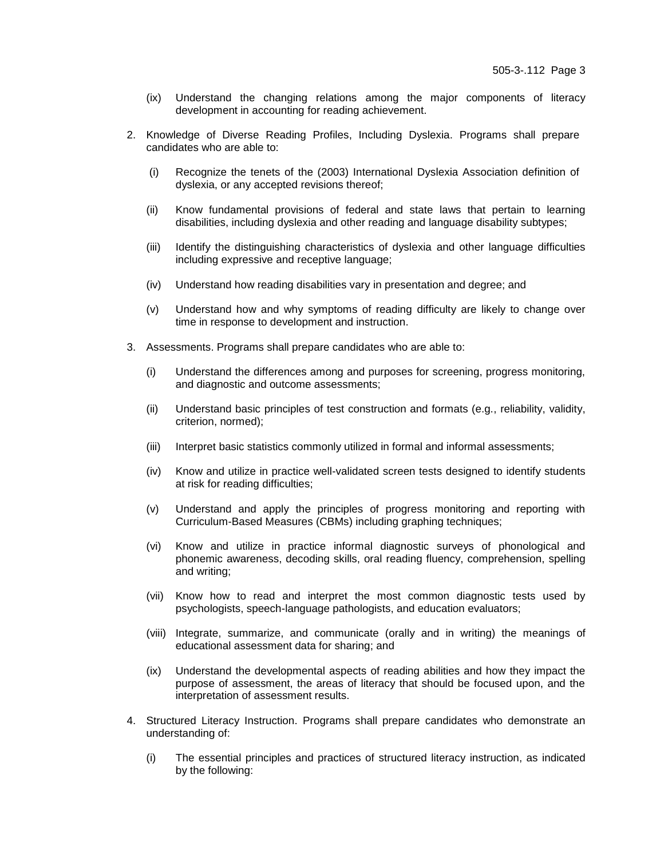- (ix) Understand the changing relations among the major components of literacy development in accounting for reading achievement.
- 2. Knowledge of Diverse Reading Profiles, Including Dyslexia. Programs shall prepare candidates who are able to:
	- (i) Recognize the tenets of the (2003) International Dyslexia Association definition of dyslexia, or any accepted revisions thereof;
	- (ii) Know fundamental provisions of federal and state laws that pertain to learning disabilities, including dyslexia and other reading and language disability subtypes;
	- (iii) Identify the distinguishing characteristics of dyslexia and other language difficulties including expressive and receptive language;
	- (iv) Understand how reading disabilities vary in presentation and degree; and
	- (v) Understand how and why symptoms of reading difficulty are likely to change over time in response to development and instruction.
- 3. Assessments. Programs shall prepare candidates who are able to:
	- (i) Understand the differences among and purposes for screening, progress monitoring, and diagnostic and outcome assessments;
	- (ii) Understand basic principles of test construction and formats (e.g., reliability, validity, criterion, normed);
	- (iii) Interpret basic statistics commonly utilized in formal and informal assessments;
	- (iv) Know and utilize in practice well-validated screen tests designed to identify students at risk for reading difficulties;
	- (v) Understand and apply the principles of progress monitoring and reporting with Curriculum-Based Measures (CBMs) including graphing techniques;
	- (vi) Know and utilize in practice informal diagnostic surveys of phonological and phonemic awareness, decoding skills, oral reading fluency, comprehension, spelling and writing;
	- (vii) Know how to read and interpret the most common diagnostic tests used by psychologists, speech-language pathologists, and education evaluators;
	- (viii) Integrate, summarize, and communicate (orally and in writing) the meanings of educational assessment data for sharing; and
	- (ix) Understand the developmental aspects of reading abilities and how they impact the purpose of assessment, the areas of literacy that should be focused upon, and the interpretation of assessment results.
- 4. Structured Literacy Instruction. Programs shall prepare candidates who demonstrate an understanding of:
	- (i) The essential principles and practices of structured literacy instruction, as indicated by the following: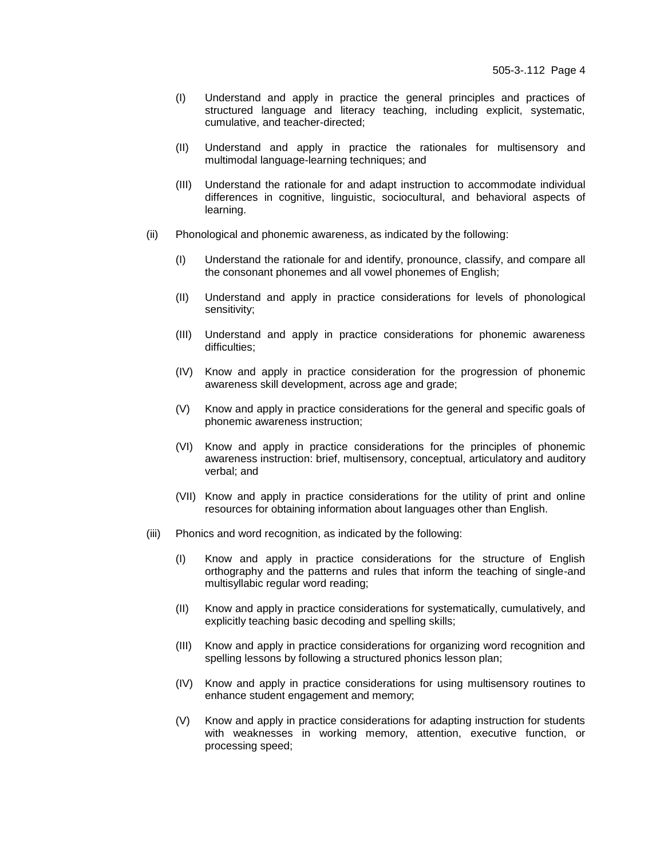- (I) Understand and apply in practice the general principles and practices of structured language and literacy teaching, including explicit, systematic, cumulative, and teacher-directed;
- (II) Understand and apply in practice the rationales for multisensory and multimodal language-learning techniques; and
- (III) Understand the rationale for and adapt instruction to accommodate individual differences in cognitive, linguistic, sociocultural, and behavioral aspects of learning.
- (ii) Phonological and phonemic awareness, as indicated by the following:
	- (I) Understand the rationale for and identify, pronounce, classify, and compare all the consonant phonemes and all vowel phonemes of English;
	- (II) Understand and apply in practice considerations for levels of phonological sensitivity;
	- (III) Understand and apply in practice considerations for phonemic awareness difficulties;
	- (IV) Know and apply in practice consideration for the progression of phonemic awareness skill development, across age and grade;
	- (V) Know and apply in practice considerations for the general and specific goals of phonemic awareness instruction;
	- (VI) Know and apply in practice considerations for the principles of phonemic awareness instruction: brief, multisensory, conceptual, articulatory and auditory verbal; and
	- (VII) Know and apply in practice considerations for the utility of print and online resources for obtaining information about languages other than English.
- (iii) Phonics and word recognition, as indicated by the following:
	- (I) Know and apply in practice considerations for the structure of English orthography and the patterns and rules that inform the teaching of single-and multisyllabic regular word reading;
	- (II) Know and apply in practice considerations for systematically, cumulatively, and explicitly teaching basic decoding and spelling skills;
	- (III) Know and apply in practice considerations for organizing word recognition and spelling lessons by following a structured phonics lesson plan;
	- (IV) Know and apply in practice considerations for using multisensory routines to enhance student engagement and memory;
	- (V) Know and apply in practice considerations for adapting instruction for students with weaknesses in working memory, attention, executive function, or processing speed;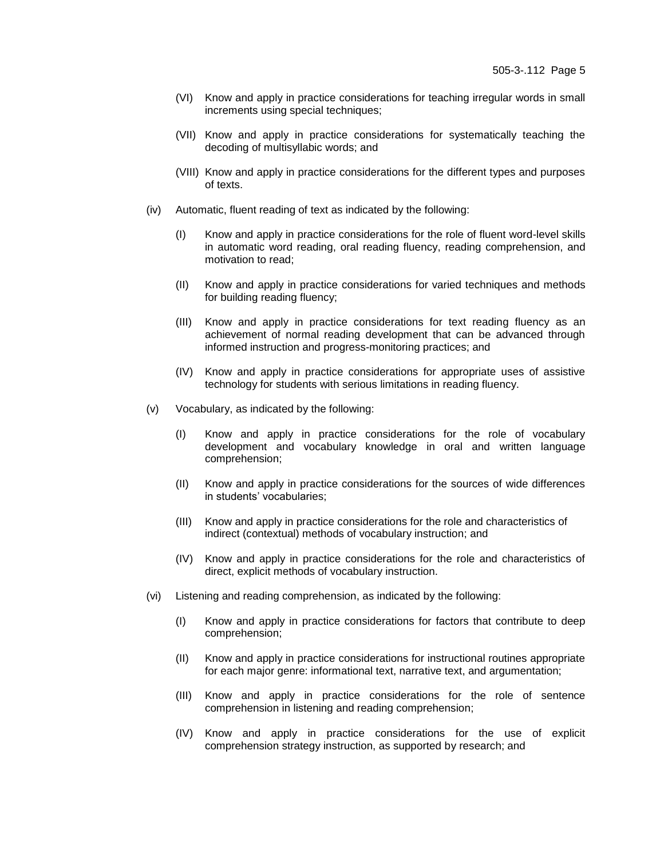- (VI) Know and apply in practice considerations for teaching irregular words in small increments using special techniques;
- (VII) Know and apply in practice considerations for systematically teaching the decoding of multisyllabic words; and
- (VIII) Know and apply in practice considerations for the different types and purposes of texts.
- (iv) Automatic, fluent reading of text as indicated by the following:
	- (I) Know and apply in practice considerations for the role of fluent word-level skills in automatic word reading, oral reading fluency, reading comprehension, and motivation to read;
	- (II) Know and apply in practice considerations for varied techniques and methods for building reading fluency;
	- (III) Know and apply in practice considerations for text reading fluency as an achievement of normal reading development that can be advanced through informed instruction and progress-monitoring practices; and
	- (IV) Know and apply in practice considerations for appropriate uses of assistive technology for students with serious limitations in reading fluency.
- (v) Vocabulary, as indicated by the following:
	- (I) Know and apply in practice considerations for the role of vocabulary development and vocabulary knowledge in oral and written language comprehension;
	- (II) Know and apply in practice considerations for the sources of wide differences in students' vocabularies;
	- (III) Know and apply in practice considerations for the role and characteristics of indirect (contextual) methods of vocabulary instruction; and
	- (IV) Know and apply in practice considerations for the role and characteristics of direct, explicit methods of vocabulary instruction.
- (vi) Listening and reading comprehension, as indicated by the following:
	- (I) Know and apply in practice considerations for factors that contribute to deep comprehension;
	- (II) Know and apply in practice considerations for instructional routines appropriate for each major genre: informational text, narrative text, and argumentation;
	- (III) Know and apply in practice considerations for the role of sentence comprehension in listening and reading comprehension;
	- (IV) Know and apply in practice considerations for the use of explicit comprehension strategy instruction, as supported by research; and